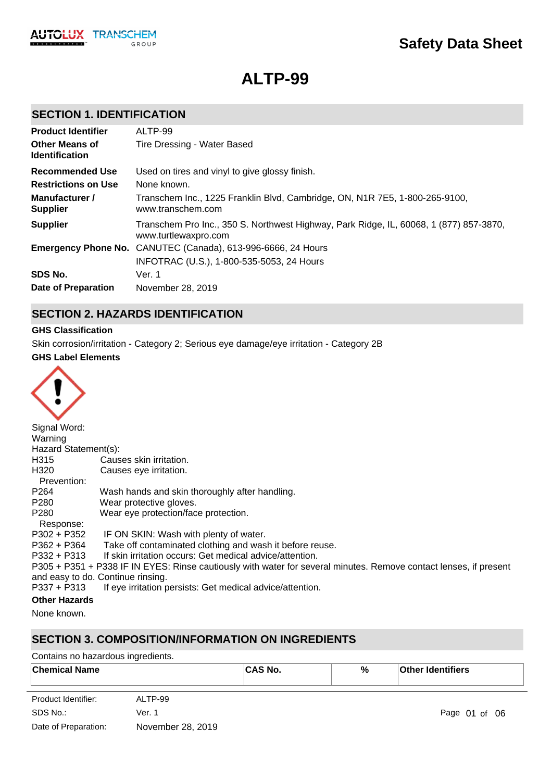

# **ALTP-99**

# **SECTION 1. IDENTIFICATION**

| <b>Product Identifier</b>                      | ALTP-99                                                                                                        |
|------------------------------------------------|----------------------------------------------------------------------------------------------------------------|
| <b>Other Means of</b><br><b>Identification</b> | Tire Dressing - Water Based                                                                                    |
| Recommended Use                                | Used on tires and vinyl to give glossy finish.                                                                 |
| <b>Restrictions on Use</b>                     | None known.                                                                                                    |
| Manufacturer /<br><b>Supplier</b>              | Transchem Inc., 1225 Franklin Blvd, Cambridge, ON, N1R 7E5, 1-800-265-9100,<br>www.transchem.com               |
| <b>Supplier</b>                                | Transchem Pro Inc., 350 S. Northwest Highway, Park Ridge, IL, 60068, 1 (877) 857-3870,<br>www.turtlewaxpro.com |
|                                                | <b>Emergency Phone No.</b> CANUTEC (Canada), 613-996-6666, 24 Hours                                            |
|                                                | INFOTRAC (U.S.), 1-800-535-5053, 24 Hours                                                                      |
| SDS No.                                        | Ver. 1                                                                                                         |
| Date of Preparation                            | November 28, 2019                                                                                              |

# **SECTION 2. HAZARDS IDENTIFICATION**

### **GHS Classification**

Skin corrosion/irritation - Category 2; Serious eye damage/eye irritation - Category 2B

### **GHS Label Elements**

| Signal Word:         |                                                                                                                   |
|----------------------|-------------------------------------------------------------------------------------------------------------------|
| Warning              |                                                                                                                   |
| Hazard Statement(s): |                                                                                                                   |
| H315                 | Causes skin irritation.                                                                                           |
| H320<br>Prevention:  | Causes eye irritation.                                                                                            |
| P <sub>264</sub>     | Wash hands and skin thoroughly after handling.                                                                    |
| P280                 | Wear protective gloves.                                                                                           |
| P <sub>280</sub>     | Wear eye protection/face protection.                                                                              |
| Response:            |                                                                                                                   |
|                      | P302 + P352 IF ON SKIN: Wash with plenty of water.                                                                |
| P362 + P364          | Take off contaminated clothing and wash it before reuse.                                                          |
| $P332 + P313$        | If skin irritation occurs: Get medical advice/attention.                                                          |
|                      | P305 + P351 + P338 IF IN EYES: Rinse cautiously with water for several minutes. Remove contact lenses, if present |
|                      | and easy to do. Continue rinsing.                                                                                 |
| $P337 + P313$        | If eye irritation persists: Get medical advice/attention.                                                         |
| <b>Other Hazards</b> |                                                                                                                   |

None known.

# **SECTION 3. COMPOSITION/INFORMATION ON INGREDIENTS**

Contains no hazardous ingredients.

| <b>Chemical Name</b> | $\hat{\ }$ No.<br>$\Lambda$ $\sim$ | % | <b>Other Identifiers</b> |
|----------------------|------------------------------------|---|--------------------------|
|                      |                                    |   |                          |

| Product Identifier:  | ALTP-99           |
|----------------------|-------------------|
| SDS No.:             | Ver. 1            |
| Date of Preparation: | November 28, 2019 |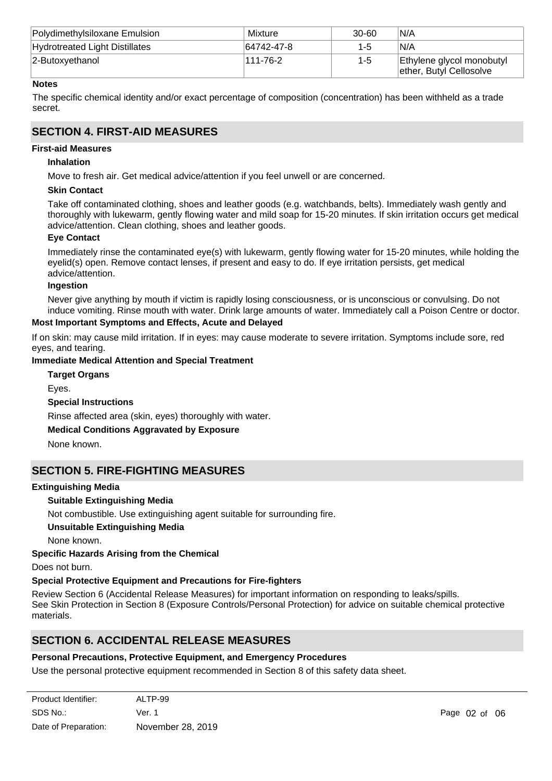| Polydimethylsiloxane Emulsion  | Mixture    | $30 - 60$ | N/A                                                  |
|--------------------------------|------------|-----------|------------------------------------------------------|
| Hydrotreated Light Distillates | 64742-47-8 | $1 - 5$   | N/A                                                  |
| 2-Butoxyethanol                | 111-76-2   | $1 - 5$   | Ethylene glycol monobutyl<br>ether, Butyl Cellosolve |

### **Notes**

The specific chemical identity and/or exact percentage of composition (concentration) has been withheld as a trade secret.

# **SECTION 4. FIRST-AID MEASURES**

### **First-aid Measures**

### **Inhalation**

Move to fresh air. Get medical advice/attention if you feel unwell or are concerned.

### **Skin Contact**

Take off contaminated clothing, shoes and leather goods (e.g. watchbands, belts). Immediately wash gently and thoroughly with lukewarm, gently flowing water and mild soap for 15-20 minutes. If skin irritation occurs get medical advice/attention. Clean clothing, shoes and leather goods.

### **Eye Contact**

Immediately rinse the contaminated eye(s) with lukewarm, gently flowing water for 15-20 minutes, while holding the eyelid(s) open. Remove contact lenses, if present and easy to do. If eye irritation persists, get medical advice/attention.

#### **Ingestion**

Never give anything by mouth if victim is rapidly losing consciousness, or is unconscious or convulsing. Do not induce vomiting. Rinse mouth with water. Drink large amounts of water. Immediately call a Poison Centre or doctor.

### **Most Important Symptoms and Effects, Acute and Delayed**

If on skin: may cause mild irritation. If in eyes: may cause moderate to severe irritation. Symptoms include sore, red eyes, and tearing.

### **Immediate Medical Attention and Special Treatment**

**Target Organs**

Eyes.

### **Special Instructions**

Rinse affected area (skin, eyes) thoroughly with water.

### **Medical Conditions Aggravated by Exposure**

None known.

### **SECTION 5. FIRE-FIGHTING MEASURES**

#### **Extinguishing Media**

### **Suitable Extinguishing Media**

Not combustible. Use extinguishing agent suitable for surrounding fire.

#### **Unsuitable Extinguishing Media**

None known.

### **Specific Hazards Arising from the Chemical**

Does not burn.

### **Special Protective Equipment and Precautions for Fire-fighters**

Review Section 6 (Accidental Release Measures) for important information on responding to leaks/spills. See Skin Protection in Section 8 (Exposure Controls/Personal Protection) for advice on suitable chemical protective materials.

### **SECTION 6. ACCIDENTAL RELEASE MEASURES**

### **Personal Precautions, Protective Equipment, and Emergency Procedures**

Use the personal protective equipment recommended in Section 8 of this safety data sheet.

| Product Identifier:  | ALTP-99           |
|----------------------|-------------------|
| SDS No.:             | Ver. 1            |
| Date of Preparation: | November 28, 2019 |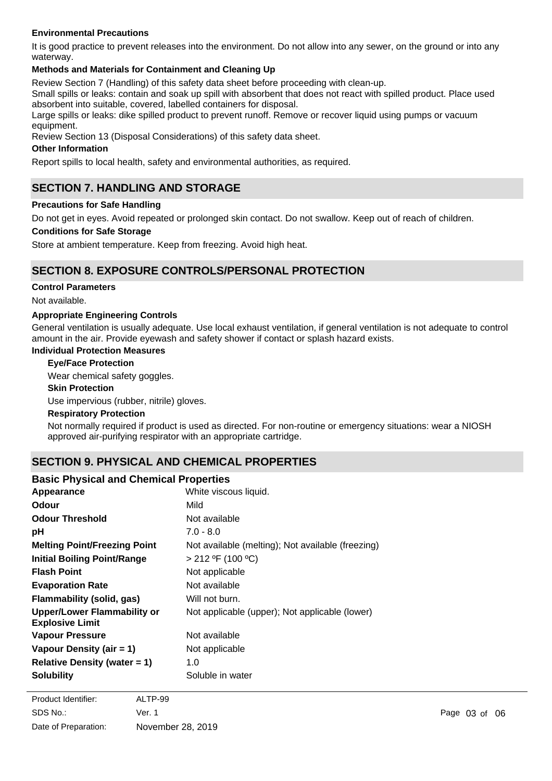### **Environmental Precautions**

It is good practice to prevent releases into the environment. Do not allow into any sewer, on the ground or into any waterway.

### **Methods and Materials for Containment and Cleaning Up**

Review Section 7 (Handling) of this safety data sheet before proceeding with clean-up.

Small spills or leaks: contain and soak up spill with absorbent that does not react with spilled product. Place used absorbent into suitable, covered, labelled containers for disposal.

Large spills or leaks: dike spilled product to prevent runoff. Remove or recover liquid using pumps or vacuum equipment.

Review Section 13 (Disposal Considerations) of this safety data sheet.

### **Other Information**

Report spills to local health, safety and environmental authorities, as required.

# **SECTION 7. HANDLING AND STORAGE**

### **Precautions for Safe Handling**

Do not get in eyes. Avoid repeated or prolonged skin contact. Do not swallow. Keep out of reach of children.

### **Conditions for Safe Storage**

Store at ambient temperature. Keep from freezing. Avoid high heat.

### **SECTION 8. EXPOSURE CONTROLS/PERSONAL PROTECTION**

### **Control Parameters**

### Not available.

### **Appropriate Engineering Controls**

General ventilation is usually adequate. Use local exhaust ventilation, if general ventilation is not adequate to control amount in the air. Provide eyewash and safety shower if contact or splash hazard exists.

#### **Individual Protection Measures**

#### **Eye/Face Protection**

Wear chemical safety goggles.

### **Skin Protection**

Use impervious (rubber, nitrile) gloves.

#### **Respiratory Protection**

Not normally required if product is used as directed. For non-routine or emergency situations: wear a NIOSH approved air-purifying respirator with an appropriate cartridge.

# **SECTION 9. PHYSICAL AND CHEMICAL PROPERTIES**

### **Basic Physical and Chemical Properties**

| Appearance                                                   | White viscous liquid.                             |
|--------------------------------------------------------------|---------------------------------------------------|
| <b>Odour</b>                                                 | Mild                                              |
| <b>Odour Threshold</b>                                       | Not available                                     |
| рH                                                           | $7.0 - 8.0$                                       |
| <b>Melting Point/Freezing Point</b>                          | Not available (melting); Not available (freezing) |
| <b>Initial Boiling Point/Range</b>                           | > 212 °F (100 °C)                                 |
| <b>Flash Point</b>                                           | Not applicable                                    |
| <b>Evaporation Rate</b>                                      | Not available                                     |
| <b>Flammability (solid, gas)</b>                             | Will not burn.                                    |
| <b>Upper/Lower Flammability or</b><br><b>Explosive Limit</b> | Not applicable (upper); Not applicable (lower)    |
| <b>Vapour Pressure</b>                                       | Not available                                     |
| Vapour Density (air $= 1$ )                                  | Not applicable                                    |
| Relative Density (water $= 1$ )                              | 1.0                                               |
| <b>Solubility</b>                                            | Soluble in water                                  |

Not available

**Partition Coefficient,**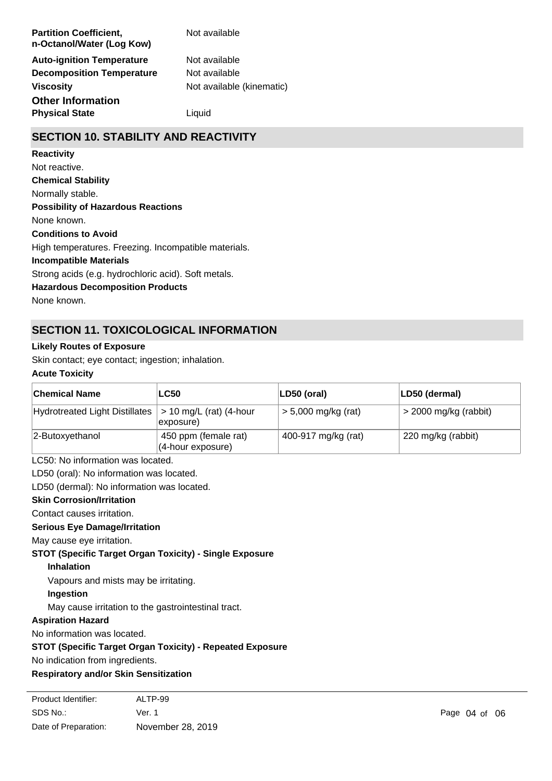| <b>Partition Coefficient,</b><br>n-Octanol/Water (Log Kow) | Not available             |
|------------------------------------------------------------|---------------------------|
| <b>Auto-ignition Temperature</b>                           | Not available             |
| <b>Decomposition Temperature</b>                           | Not available             |
| <b>Viscosity</b>                                           | Not available (kinematic) |
| <b>Other Information</b>                                   |                           |
| <b>Physical State</b>                                      | Liauid                    |

# **SECTION 10. STABILITY AND REACTIVITY**

#### **Reactivity**

**Chemical Stability** Normally stable. **Conditions to Avoid** High temperatures. Freezing. Incompatible materials. **Incompatible Materials** Strong acids (e.g. hydrochloric acid). Soft metals. **Hazardous Decomposition Products** None known. **Possibility of Hazardous Reactions** None known. Not reactive.

# **SECTION 11. TOXICOLOGICAL INFORMATION**

### **Likely Routes of Exposure**

Skin contact; eye contact; ingestion; inhalation.

### **Acute Toxicity**

| ∣Chemical Name                 | <b>LC50</b>                                  | LD50 (oral)           | LD50 (dermal)           |
|--------------------------------|----------------------------------------------|-----------------------|-------------------------|
| Hydrotreated Light Distillates | $> 10$ mg/L (rat) (4-hour<br>exposure)       | $> 5,000$ mg/kg (rat) | $>$ 2000 mg/kg (rabbit) |
| $ 2$ -Butoxyethanol            | 450 ppm (female rat)<br>$(4$ -hour exposure) | 400-917 mg/kg (rat)   | 220 mg/kg (rabbit)      |

LC50: No information was located.

LD50 (oral): No information was located.

LD50 (dermal): No information was located.

#### **Skin Corrosion/Irritation**

Contact causes irritation.

#### **Serious Eye Damage/Irritation**

May cause eye irritation.

**STOT (Specific Target Organ Toxicity) - Single Exposure**

#### **Inhalation**

Vapours and mists may be irritating.

### **Ingestion**

May cause irritation to the gastrointestinal tract.

### **Aspiration Hazard**

No information was located.

### **STOT (Specific Target Organ Toxicity) - Repeated Exposure**

No indication from ingredients.

No information was located.

### **Respiratory and/or Skin Sensitization**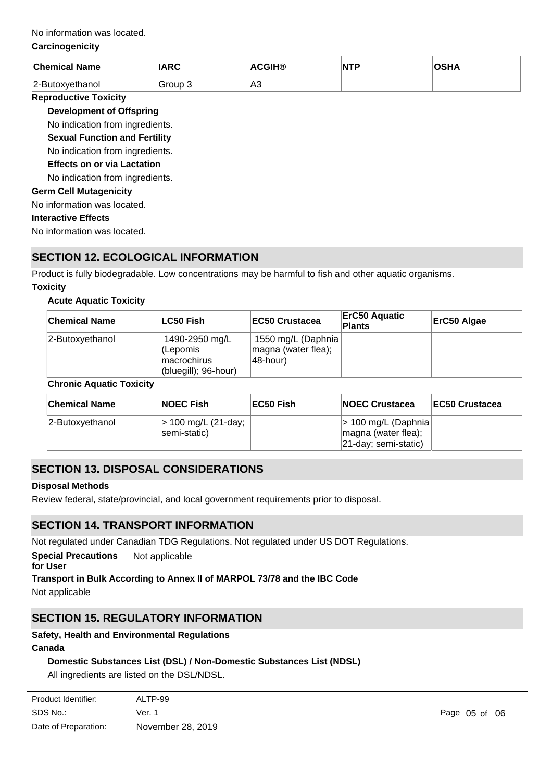### No information was located.

### **Carcinogenicity**

| <b>Chemical Name</b> | <b>IARC</b> | <b>ACGIH®</b> | NTP | <b>OSHA</b> |
|----------------------|-------------|---------------|-----|-------------|
| 2-Butoxvethanol      | Group 3     | lA3           |     |             |

### **Reproductive Toxicity**

**Development of Offspring**

No indication from ingredients.

**Sexual Function and Fertility**

No indication from ingredients.

### **Effects on or via Lactation**

No indication from ingredients.

### **Germ Cell Mutagenicity**

No information was located.

### **Interactive Effects**

No information was located.

# **SECTION 12. ECOLOGICAL INFORMATION**

Product is fully biodegradable. Low concentrations may be harmful to fish and other aquatic organisms. **Toxicity**

### **Acute Aquatic Toxicity**

| <b>Chemical Name</b> | ∣LC50 Fish                                                         | <b>IEC50 Crustacea</b>                                | <b>ErC50 Aquatic</b><br>Plants | ErC50 Algae |
|----------------------|--------------------------------------------------------------------|-------------------------------------------------------|--------------------------------|-------------|
| 2-Butoxyethanol      | 1490-2950 mg/L<br>(Lepomis<br>lmacrochirus<br>(bluegill); 96-hour) | 1550 mg/L (Daphnia<br>magna (water flea);<br>48-hour) |                                |             |

#### **Chronic Aquatic Toxicity**

| <b>Chemical Name</b> | <b>NOEC Fish</b>                    | EC50 Fish | <b>NOEC Crustacea</b>                        | <b>EC50 Crustacea</b> |
|----------------------|-------------------------------------|-----------|----------------------------------------------|-----------------------|
| $ 2$ -Butoxyethanol  | > 100 mg/L (21-day;<br>semi-static) |           | > 100 mg/L (Daphnia  <br>magna (water flea); |                       |
|                      |                                     |           | 21-day; semi-static)                         |                       |

# **SECTION 13. DISPOSAL CONSIDERATIONS**

### **Disposal Methods**

Review federal, state/provincial, and local government requirements prior to disposal.

### **SECTION 14. TRANSPORT INFORMATION**

Not regulated under Canadian TDG Regulations. Not regulated under US DOT Regulations.

**Special Precautions** Not applicable

### **for User**

### **Transport in Bulk According to Annex II of MARPOL 73/78 and the IBC Code**

Not applicable

# **SECTION 15. REGULATORY INFORMATION**

### **Safety, Health and Environmental Regulations**

### **Canada**

**USA**

# **Domestic Substances List (DSL) / Non-Domestic Substances List (NDSL)**

All ingredients are listed on the DSL/NDSL.

| Product Identifier:  | ALTP-99           |
|----------------------|-------------------|
| SDS No.:             | Ver. 1            |
| Date of Preparation: | November 28, 2019 |